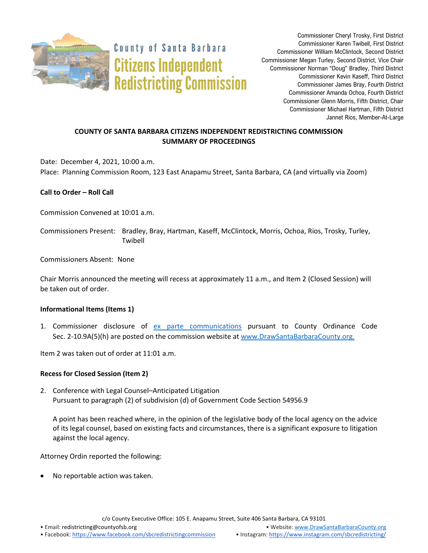

**County of Santa Barbara Citizens Independent Redistricting Commission** 

Commissioner Cheryl Trosky, First District Commissioner Karen Twibell, First District Commissioner William McClintock, Second District Commissioner Megan Turley, Second District, Vice Chair Commissioner Norman "Doug" Bradley, Third District Commissioner Kevin Kaseff, Third District Commissioner James Bray, Fourth District Commissioner Amanda Ochoa, Fourth District Commissioner Glenn Morris, Fifth District, Chair Commissioner Michael Hartman, Fifth District Jannet Rios, Member-At-Large

# **COUNTY OF SANTA BARBARA CITIZENS INDEPENDENT REDISTRICTING COMMISSION SUMMARY OF PROCEEDINGS**

Date: December 4, 2021, 10:00 a.m. Place: Planning Commission Room, 123 East Anapamu Street, Santa Barbara, CA (and virtually via Zoom)

## **Call to Order – Roll Call**

Commission Convened at 10:01 a.m.

Commissioners Present: Bradley, Bray, Hartman, Kaseff, McClintock, Morris, Ochoa, Rios, Trosky, Turley, Twibell

Commissioners Absent: None

Chair Morris announced the meeting will recess at approximately 11 a.m., and Item 2 (Closed Session) will be taken out of order.

## **Informational Items (Items 1)**

1. Commissioner disclosure of [ex parte communications](https://docs.google.com/spreadsheets/d/1zGO1NmeO_y9ohV2vMMFAtu6b3rVpIXViVtRool9dmBg/edit?usp=drive_web) pursuant to County Ordinance Code Sec. 2-10.9A(5)(h) are posted on the commission website a[t www.DrawSantaBarbaraCounty.org.](https://drawsantabarbaracounty.org/)

Item 2 was taken out of order at 11:01 a.m.

## **Recess for Closed Session (Item 2)**

2. Conference with Legal Counsel–Anticipated Litigation Pursuant to paragraph (2) of subdivision (d) of Government Code Section 54956.9

A point has been reached where, in the opinion of the legislative body of the local agency on the advice of its legal counsel, based on existing facts and circumstances, there is a significant exposure to litigation against the local agency.

Attorney Ordin reported the following:

No reportable action was taken.

c/o County Executive Office: 105 E. Anapamu Street, Suite 406 Santa Barbara, CA 93101

• Email[: redistricting@countyofsb.org](mailto:redistricting@countyofsb.org) • Website: [www.DrawSantaBarbaraCounty.org](http://www.drawsantabarbaracounty.org/)

• Facebook: <https://www.facebook.com/sbcredistrictingcommission> • Instagram: <https://www.instagram.com/sbcredistricting/>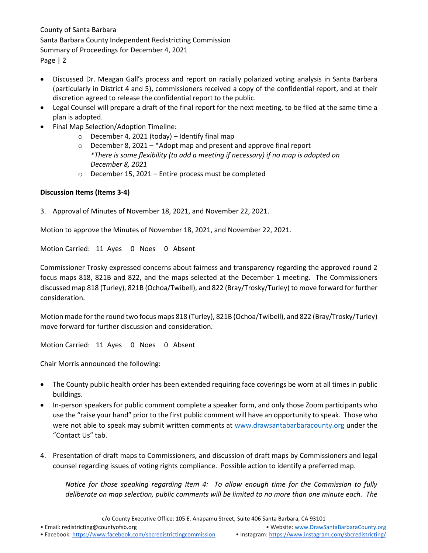- Discussed Dr. Meagan Gall's process and report on racially polarized voting analysis in Santa Barbara (particularly in District 4 and 5), commissioners received a copy of the confidential report, and at their discretion agreed to release the confidential report to the public.
- Legal Counsel will prepare a draft of the final report for the next meeting, to be filed at the same time a plan is adopted.
- Final Map Selection/Adoption Timeline:
	- $\circ$  December 4, 2021 (today) Identify final map
	- o December 8, 2021 \*Adopt map and present and approve final report *\*There is some flexibility (to add a meeting if necessary) if no map is adopted on December 8, 2021*
	- o December 15, 2021 Entire process must be completed

## **Discussion Items (Items 3-4)**

3. Approval of Minutes of November 18, 2021, and November 22, 2021.

Motion to approve the Minutes of November 18, 2021, and November 22, 2021.

Motion Carried: 11 Ayes 0 Noes 0 Absent

Commissioner Trosky expressed concerns about fairness and transparency regarding the approved round 2 focus maps 818, 821B and 822, and the maps selected at the December 1 meeting. The Commissioners discussed map 818 (Turley), 821B (Ochoa/Twibell), and 822 (Bray/Trosky/Turley) to move forward for further consideration.

Motion made for the round two focus maps 818 (Turley), 821B (Ochoa/Twibell), and 822 (Bray/Trosky/Turley) move forward for further discussion and consideration.

Motion Carried: 11 Ayes 0 Noes 0 Absent

Chair Morris announced the following:

- The County public health order has been extended requiring face coverings be worn at all times in public buildings.
- In-person speakers for public comment complete a speaker form, and only those Zoom participants who use the "raise your hand" prior to the first public comment will have an opportunity to speak. Those who were not able to speak may submit written comments at [www.drawsantabarbaracounty.org](http://www.drawsantabarbaracounty.org/) under the "Contact Us" tab.
- 4. Presentation of draft maps to Commissioners, and discussion of draft maps by Commissioners and legal counsel regarding issues of voting rights compliance. Possible action to identify a preferred map.

*Notice for those speaking regarding Item 4: To allow enough time for the Commission to fully deliberate on map selection, public comments will be limited to no more than one minute each. The*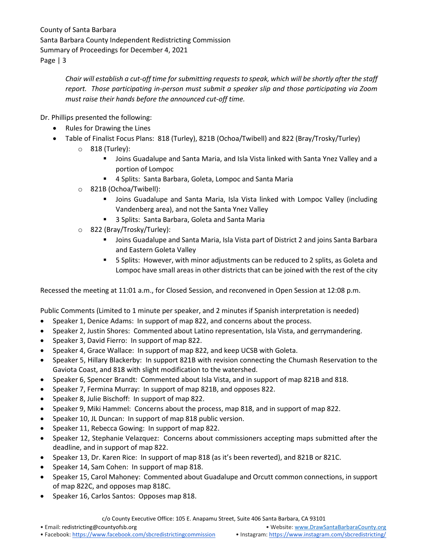> *Chair will establish a cut-off time for submitting requests to speak, which will be shortly after the staff report. Those participating in-person must submit a speaker slip and those participating via Zoom must raise their hands before the announced cut-off time.*

Dr. Phillips presented the following:

- Rules for Drawing the Lines
- Table of Finalist Focus Plans: 818 (Turley), 821B (Ochoa/Twibell) and 822 (Bray/Trosky/Turley)
	- o 818 (Turley):
		- Joins Guadalupe and Santa Maria, and Isla Vista linked with Santa Ynez Valley and a portion of Lompoc
		- 4 Splits: Santa Barbara, Goleta, Lompoc and Santa Maria
	- o 821B (Ochoa/Twibell):
		- Joins Guadalupe and Santa Maria, Isla Vista linked with Lompoc Valley (including Vandenberg area), and not the Santa Ynez Valley
		- 3 Splits: Santa Barbara, Goleta and Santa Maria
	- o 822 (Bray/Trosky/Turley):
		- **■** Joins Guadalupe and Santa Maria, Isla Vista part of District 2 and joins Santa Barbara and Eastern Goleta Valley
		- 5 Splits: However, with minor adjustments can be reduced to 2 splits, as Goleta and Lompoc have small areas in other districts that can be joined with the rest of the city

Recessed the meeting at 11:01 a.m., for Closed Session, and reconvened in Open Session at 12:08 p.m.

Public Comments (Limited to 1 minute per speaker, and 2 minutes if Spanish interpretation is needed)

- Speaker 1, Denice Adams: In support of map 822, and concerns about the process.
- Speaker 2, Justin Shores: Commented about Latino representation, Isla Vista, and gerrymandering.
- Speaker 3, David Fierro: In support of map 822.
- Speaker 4, Grace Wallace: In support of map 822, and keep UCSB with Goleta.
- Speaker 5, Hillary Blackerby: In support 821B with revision connecting the Chumash Reservation to the Gaviota Coast, and 818 with slight modification to the watershed.
- Speaker 6, Spencer Brandt: Commented about Isla Vista, and in support of map 821B and 818.
- Speaker 7, Fermina Murray: In support of map 821B, and opposes 822.
- Speaker 8, Julie Bischoff: In support of map 822.
- Speaker 9, Miki Hammel: Concerns about the process, map 818, and in support of map 822.
- Speaker 10, JL Duncan: In support of map 818 public version.
- Speaker 11, Rebecca Gowing: In support of map 822.
- Speaker 12, Stephanie Velazquez: Concerns about commissioners accepting maps submitted after the deadline, and in support of map 822.
- Speaker 13, Dr. Karen Rice: In support of map 818 (as it's been reverted), and 821B or 821C.
- Speaker 14, Sam Cohen: In support of map 818.
- Speaker 15, Carol Mahoney: Commented about Guadalupe and Orcutt common connections, in support of map 822C, and opposes map 818C.
- Speaker 16, Carlos Santos: Opposes map 818.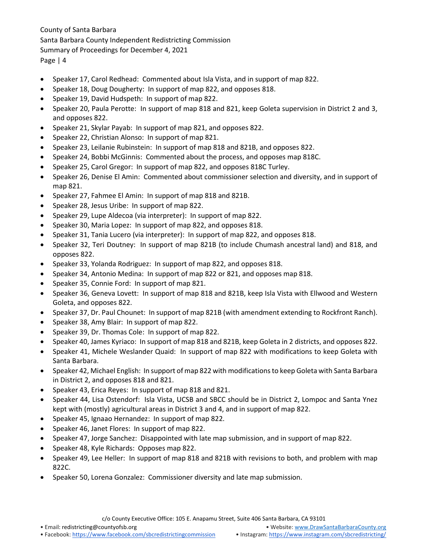- Speaker 17, Carol Redhead: Commented about Isla Vista, and in support of map 822.
- Speaker 18, Doug Dougherty: In support of map 822, and opposes 818.
- Speaker 19, David Hudspeth: In support of map 822.
- Speaker 20, Paula Perotte: In support of map 818 and 821, keep Goleta supervision in District 2 and 3, and opposes 822.
- Speaker 21, Skylar Payab: In support of map 821, and opposes 822.
- Speaker 22, Christian Alonso: In support of map 821.
- Speaker 23, Leilanie Rubinstein: In support of map 818 and 821B, and opposes 822.
- Speaker 24, Bobbi McGinnis: Commented about the process, and opposes map 818C.
- Speaker 25, Carol Gregor: In support of map 822, and opposes 818C Turley.
- Speaker 26, Denise El Amin: Commented about commissioner selection and diversity, and in support of map 821.
- Speaker 27, Fahmee El Amin: In support of map 818 and 821B.
- Speaker 28, Jesus Uribe: In support of map 822.
- Speaker 29, Lupe Aldecoa (via interpreter): In support of map 822.
- Speaker 30, Maria Lopez: In support of map 822, and opposes 818.
- Speaker 31, Tania Lucero (via interpreter): In support of map 822, and opposes 818.
- Speaker 32, Teri Doutney: In support of map 821B (to include Chumash ancestral land) and 818, and opposes 822.
- Speaker 33, Yolanda Rodriguez: In support of map 822, and opposes 818.
- Speaker 34, Antonio Medina: In support of map 822 or 821, and opposes map 818.
- Speaker 35, Connie Ford: In support of map 821.
- Speaker 36, Geneva Lovett: In support of map 818 and 821B, keep Isla Vista with Ellwood and Western Goleta, and opposes 822.
- Speaker 37, Dr. Paul Chounet: In support of map 821B (with amendment extending to Rockfront Ranch).
- Speaker 38, Amy Blair: In support of map 822.
- Speaker 39, Dr. Thomas Cole: In support of map 822.
- Speaker 40, James Kyriaco: In support of map 818 and 821B, keep Goleta in 2 districts, and opposes 822.
- Speaker 41, Michele Weslander Quaid: In support of map 822 with modifications to keep Goleta with Santa Barbara.
- Speaker 42, Michael English: In support of map 822 with modifications to keep Goleta with Santa Barbara in District 2, and opposes 818 and 821.
- Speaker 43, Erica Reyes: In support of map 818 and 821.
- Speaker 44, Lisa Ostendorf: Isla Vista, UCSB and SBCC should be in District 2, Lompoc and Santa Ynez kept with (mostly) agricultural areas in District 3 and 4, and in support of map 822.
- Speaker 45, Ignaao Hernandez: In support of map 822.
- Speaker 46, Janet Flores: In support of map 822.
- Speaker 47, Jorge Sanchez: Disappointed with late map submission, and in support of map 822.
- Speaker 48, Kyle Richards: Opposes map 822.
- Speaker 49, Lee Heller: In support of map 818 and 821B with revisions to both, and problem with map 822C.
- Speaker 50, Lorena Gonzalez: Commissioner diversity and late map submission.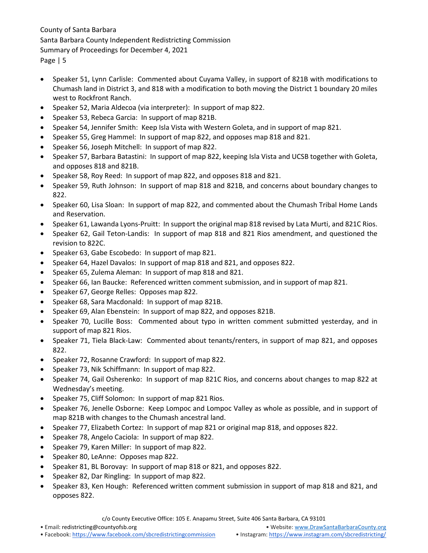- Speaker 51, Lynn Carlisle: Commented about Cuyama Valley, in support of 821B with modifications to Chumash land in District 3, and 818 with a modification to both moving the District 1 boundary 20 miles west to Rockfront Ranch.
- Speaker 52, Maria Aldecoa (via interpreter): In support of map 822.
- Speaker 53, Rebeca Garcia: In support of map 821B.
- Speaker 54, Jennifer Smith: Keep Isla Vista with Western Goleta, and in support of map 821.
- Speaker 55, Greg Hammel: In support of map 822, and opposes map 818 and 821.
- Speaker 56, Joseph Mitchell: In support of map 822.
- Speaker 57, Barbara Batastini: In support of map 822, keeping Isla Vista and UCSB together with Goleta, and opposes 818 and 821B.
- Speaker 58, Roy Reed: In support of map 822, and opposes 818 and 821.
- Speaker 59, Ruth Johnson: In support of map 818 and 821B, and concerns about boundary changes to 822.
- Speaker 60, Lisa Sloan: In support of map 822, and commented about the Chumash Tribal Home Lands and Reservation.
- Speaker 61, Lawanda Lyons-Pruitt: In support the original map 818 revised by Lata Murti, and 821C Rios.
- Speaker 62, Gail Teton-Landis: In support of map 818 and 821 Rios amendment, and questioned the revision to 822C.
- Speaker 63, Gabe Escobedo: In support of map 821.
- Speaker 64, Hazel Davalos: In support of map 818 and 821, and opposes 822.
- Speaker 65, Zulema Aleman: In support of map 818 and 821.
- Speaker 66, Ian Baucke: Referenced written comment submission, and in support of map 821.
- Speaker 67, George Relles: Opposes map 822.
- Speaker 68, Sara Macdonald: In support of map 821B.
- Speaker 69, Alan Ebenstein: In support of map 822, and opposes 821B.
- Speaker 70, Lucille Boss: Commented about typo in written comment submitted yesterday, and in support of map 821 Rios.
- Speaker 71, Tiela Black-Law: Commented about tenants/renters, in support of map 821, and opposes 822.
- Speaker 72, Rosanne Crawford: In support of map 822.
- Speaker 73, Nik Schiffmann: In support of map 822.
- Speaker 74, Gail Osherenko: In support of map 821C Rios, and concerns about changes to map 822 at Wednesday's meeting.
- Speaker 75, Cliff Solomon: In support of map 821 Rios.
- Speaker 76, Jenelle Osborne: Keep Lompoc and Lompoc Valley as whole as possible, and in support of map 821B with changes to the Chumash ancestral land.
- Speaker 77, Elizabeth Cortez: In support of map 821 or original map 818, and opposes 822.
- Speaker 78, Angelo Caciola: In support of map 822.
- Speaker 79, Karen Miller: In support of map 822.
- Speaker 80, LeAnne: Opposes map 822.
- Speaker 81, BL Borovay: In support of map 818 or 821, and opposes 822.
- Speaker 82, Dar Ringling: In support of map 822.
- Speaker 83, Ken Hough: Referenced written comment submission in support of map 818 and 821, and opposes 822.

c/o County Executive Office: 105 E. Anapamu Street, Suite 406 Santa Barbara, CA 93101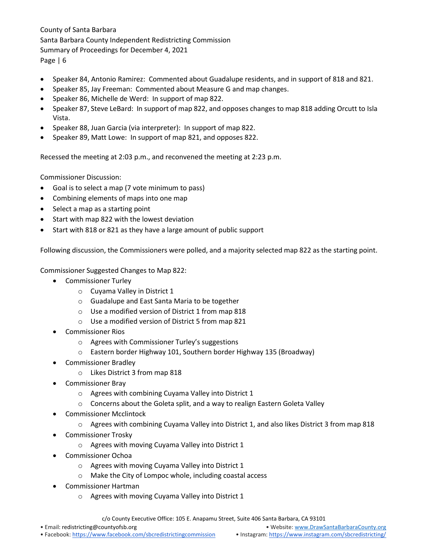- Speaker 84, Antonio Ramirez: Commented about Guadalupe residents, and in support of 818 and 821.
- Speaker 85, Jay Freeman: Commented about Measure G and map changes.
- Speaker 86, Michelle de Werd: In support of map 822.
- Speaker 87, Steve LeBard: In support of map 822, and opposes changes to map 818 adding Orcutt to Isla Vista.
- Speaker 88, Juan Garcia (via interpreter): In support of map 822.
- Speaker 89, Matt Lowe: In support of map 821, and opposes 822.

Recessed the meeting at 2:03 p.m., and reconvened the meeting at 2:23 p.m.

Commissioner Discussion:

- Goal is to select a map (7 vote minimum to pass)
- Combining elements of maps into one map
- Select a map as a starting point
- Start with map 822 with the lowest deviation
- Start with 818 or 821 as they have a large amount of public support

Following discussion, the Commissioners were polled, and a majority selected map 822 as the starting point.

Commissioner Suggested Changes to Map 822:

- Commissioner Turley
	- o Cuyama Valley in District 1
	- o Guadalupe and East Santa Maria to be together
	- o Use a modified version of District 1 from map 818
	- o Use a modified version of District 5 from map 821
- Commissioner Rios
	- o Agrees with Commissioner Turley's suggestions
	- o Eastern border Highway 101, Southern border Highway 135 (Broadway)
- Commissioner Bradley
	- o Likes District 3 from map 818
- Commissioner Bray
	- o Agrees with combining Cuyama Valley into District 1
	- o Concerns about the Goleta split, and a way to realign Eastern Goleta Valley
- Commissioner Mcclintock
	- o Agrees with combining Cuyama Valley into District 1, and also likes District 3 from map 818
- Commissioner Trosky
	- o Agrees with moving Cuyama Valley into District 1
- Commissioner Ochoa
	- o Agrees with moving Cuyama Valley into District 1
	- o Make the City of Lompoc whole, including coastal access
- Commissioner Hartman
	- o Agrees with moving Cuyama Valley into District 1

c/o County Executive Office: 105 E. Anapamu Street, Suite 406 Santa Barbara, CA 93101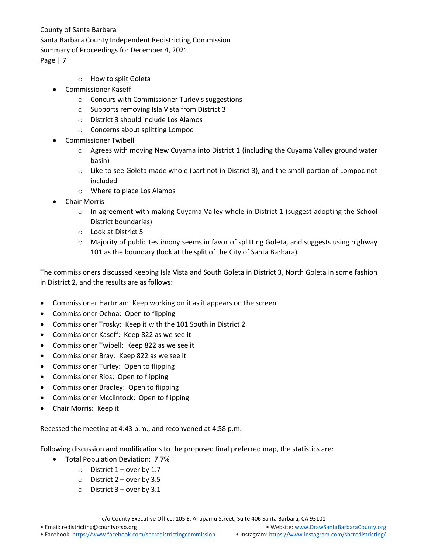- o How to split Goleta
- Commissioner Kaseff
	- o Concurs with Commissioner Turley's suggestions
	- o Supports removing Isla Vista from District 3
	- o District 3 should include Los Alamos
	- o Concerns about splitting Lompoc
- Commissioner Twibell
	- $\circ$  Agrees with moving New Cuyama into District 1 (including the Cuyama Valley ground water basin)
	- o Like to see Goleta made whole (part not in District 3), and the small portion of Lompoc not included
	- o Where to place Los Alamos
- Chair Morris
	- $\circ$  In agreement with making Cuyama Valley whole in District 1 (suggest adopting the School District boundaries)
	- o Look at District 5
	- o Majority of public testimony seems in favor of splitting Goleta, and suggests using highway 101 as the boundary (look at the split of the City of Santa Barbara)

The commissioners discussed keeping Isla Vista and South Goleta in District 3, North Goleta in some fashion in District 2, and the results are as follows:

- Commissioner Hartman: Keep working on it as it appears on the screen
- Commissioner Ochoa: Open to flipping
- Commissioner Trosky: Keep it with the 101 South in District 2
- Commissioner Kaseff: Keep 822 as we see it
- Commissioner Twibell: Keep 822 as we see it
- Commissioner Bray: Keep 822 as we see it
- Commissioner Turley: Open to flipping
- Commissioner Rios: Open to flipping
- Commissioner Bradley: Open to flipping
- Commissioner Mcclintock: Open to flipping
- Chair Morris: Keep it

Recessed the meeting at 4:43 p.m., and reconvened at 4:58 p.m.

Following discussion and modifications to the proposed final preferred map, the statistics are:

- Total Population Deviation: 7.7%
	- $\circ$  District 1 over by 1.7
		- o District 2 over by 3.5
		- $\circ$  District 3 over by 3.1

c/o County Executive Office: 105 E. Anapamu Street, Suite 406 Santa Barbara, CA 93101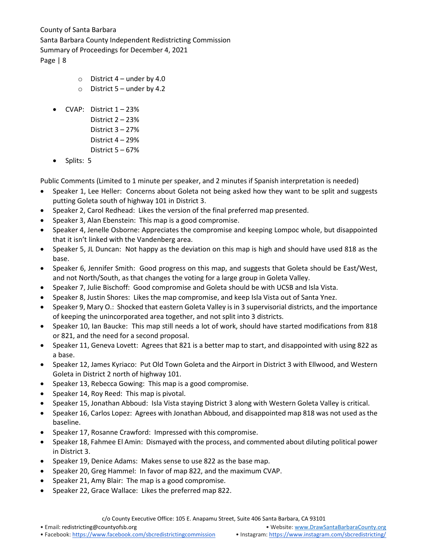- $\circ$  District 4 under by 4.0
- $\circ$  District 5 under by 4.2
- CVAP: District  $1 23%$ 
	- District 2 23% District 3 – 27% District 4 – 29%
	- District 5 67%
- Splits: 5

Public Comments (Limited to 1 minute per speaker, and 2 minutes if Spanish interpretation is needed)

- Speaker 1, Lee Heller: Concerns about Goleta not being asked how they want to be split and suggests putting Goleta south of highway 101 in District 3.
- Speaker 2, Carol Redhead: Likes the version of the final preferred map presented.
- Speaker 3, Alan Ebenstein: This map is a good compromise.
- Speaker 4, Jenelle Osborne: Appreciates the compromise and keeping Lompoc whole, but disappointed that it isn't linked with the Vandenberg area.
- Speaker 5, JL Duncan: Not happy as the deviation on this map is high and should have used 818 as the base.
- Speaker 6, Jennifer Smith: Good progress on this map, and suggests that Goleta should be East/West, and not North/South, as that changes the voting for a large group in Goleta Valley.
- Speaker 7, Julie Bischoff: Good compromise and Goleta should be with UCSB and Isla Vista.
- Speaker 8, Justin Shores: Likes the map compromise, and keep Isla Vista out of Santa Ynez.
- Speaker 9, Mary O.: Shocked that eastern Goleta Valley is in 3 supervisorial districts, and the importance of keeping the unincorporated area together, and not split into 3 districts.
- Speaker 10, Ian Baucke: This map still needs a lot of work, should have started modifications from 818 or 821, and the need for a second proposal.
- Speaker 11, Geneva Lovett: Agrees that 821 is a better map to start, and disappointed with using 822 as a base.
- Speaker 12, James Kyriaco: Put Old Town Goleta and the Airport in District 3 with Ellwood, and Western Goleta in District 2 north of highway 101.
- Speaker 13, Rebecca Gowing: This map is a good compromise.
- Speaker 14, Roy Reed: This map is pivotal.
- Speaker 15, Jonathan Abboud: Isla Vista staying District 3 along with Western Goleta Valley is critical.
- Speaker 16, Carlos Lopez: Agrees with Jonathan Abboud, and disappointed map 818 was not used as the baseline.
- Speaker 17, Rosanne Crawford: Impressed with this compromise.
- Speaker 18, Fahmee El Amin: Dismayed with the process, and commented about diluting political power in District 3.
- Speaker 19, Denice Adams: Makes sense to use 822 as the base map.
- Speaker 20, Greg Hammel: In favor of map 822, and the maximum CVAP.
- Speaker 21, Amy Blair: The map is a good compromise.
- Speaker 22, Grace Wallace: Likes the preferred map 822.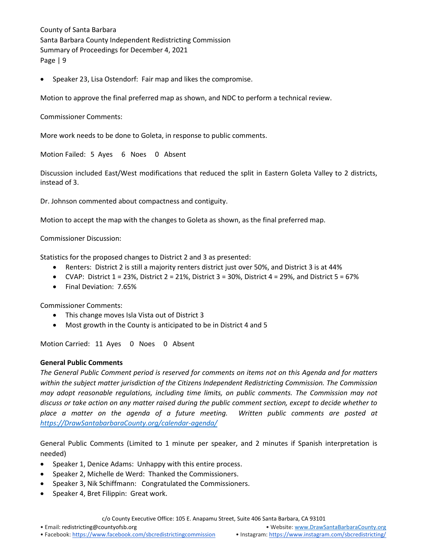• Speaker 23, Lisa Ostendorf: Fair map and likes the compromise.

Motion to approve the final preferred map as shown, and NDC to perform a technical review.

Commissioner Comments:

More work needs to be done to Goleta, in response to public comments.

Motion Failed: 5 Ayes 6 Noes 0 Absent

Discussion included East/West modifications that reduced the split in Eastern Goleta Valley to 2 districts, instead of 3.

Dr. Johnson commented about compactness and contiguity.

Motion to accept the map with the changes to Goleta as shown, as the final preferred map.

Commissioner Discussion:

Statistics for the proposed changes to District 2 and 3 as presented:

- Renters: District 2 is still a majority renters district just over 50%, and District 3 is at 44%
- CVAP: District  $1 = 23\%$ , District  $2 = 21\%$ , District  $3 = 30\%$ , District  $4 = 29\%$ , and District  $5 = 67\%$
- Final Deviation: 7.65%

Commissioner Comments:

- This change moves Isla Vista out of District 3
- Most growth in the County is anticipated to be in District 4 and 5

Motion Carried: 11 Ayes 0 Noes 0 Absent

#### **General Public Comments**

*The General Public Comment period is reserved for comments on items not on this Agenda and for matters within the subject matter jurisdiction of the Citizens Independent Redistricting Commission. The Commission may adopt reasonable regulations, including time limits, on public comments. The Commission may not discuss or take action on any matter raised during the public comment section, except to decide whether to place a matter on the agenda of a future meeting. Written public comments are posted at [https://DrawSantabarbaraCounty.org/calendar-agenda/](https://drawsantabarbaracounty.org/calendar-agenda/)*

General Public Comments (Limited to 1 minute per speaker, and 2 minutes if Spanish interpretation is needed)

- Speaker 1, Denice Adams: Unhappy with this entire process.
- Speaker 2, Michelle de Werd: Thanked the Commissioners.
- Speaker 3, Nik Schiffmann: Congratulated the Commissioners.
- Speaker 4, Bret Filippin: Great work.

c/o County Executive Office: 105 E. Anapamu Street, Suite 406 Santa Barbara, CA 93101